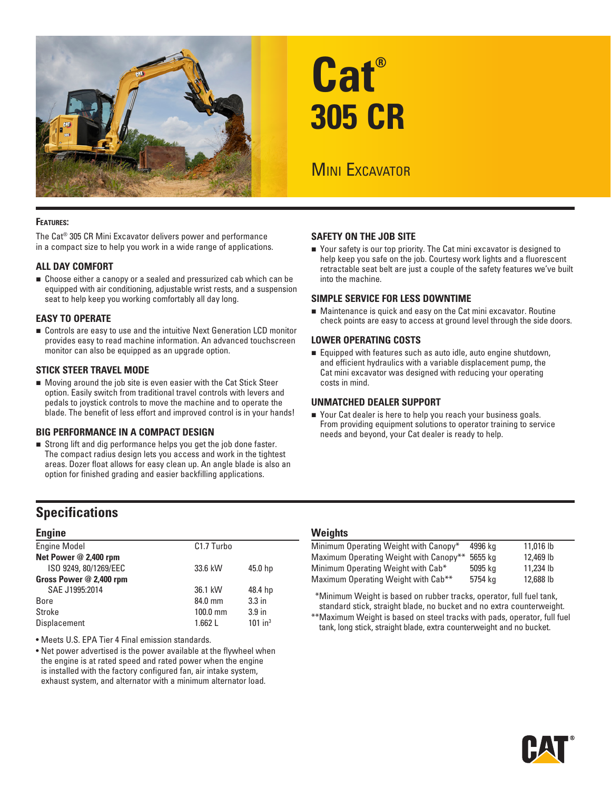

# **Cat® 305 CR**

# **MINI EXCAVATOR**

#### **Features:**

The Cat® 305 CR Mini Excavator delivers power and performance in a compact size to help you work in a wide range of applications.

#### **ALL DAY COMFORT**

■ Choose either a canopy or a sealed and pressurized cab which can be equipped with air conditioning, adjustable wrist rests, and a suspension seat to help keep you working comfortably all day long.

#### **EASY TO OPERATE**

■ Controls are easy to use and the intuitive Next Generation LCD monitor provides easy to read machine information. An advanced touchscreen monitor can also be equipped as an upgrade option.

#### **STICK STEER TRAVEL MODE**

Moving around the job site is even easier with the Cat Stick Steer option. Easily switch from traditional travel controls with levers and pedals to joystick controls to move the machine and to operate the blade. The benefit of less effort and improved control is in your hands!

#### **BIG PERFORMANCE IN A COMPACT DESIGN**

 Strong lift and dig performance helps you get the job done faster. The compact radius design lets you access and work in the tightest areas. Dozer float allows for easy clean up. An angle blade is also an option for finished grading and easier backfilling applications.

## **Specifications**

#### **Engine**

| <b>Engine Model</b>     | C <sub>1.7</sub> Turbo |                       |
|-------------------------|------------------------|-----------------------|
| Net Power @ 2,400 rpm   |                        |                       |
| ISO 9249, 80/1269/EEC   | 33.6 kW                | 45.0 hp               |
| Gross Power @ 2,400 rpm |                        |                       |
| SAE J1995:2014          | 36.1 kW                | 48.4 hp               |
| <b>Bore</b>             | 84.0 mm                | 3.3 <sub>in</sub>     |
| Stroke                  | $100.0$ mm             | 3.9 <sub>in</sub>     |
| Displacement            | 1.662L                 | $101$ in <sup>3</sup> |
|                         |                        |                       |

• Meets U.S. EPA Tier 4 Final emission standards.

• Net power advertised is the power available at the flywheel when the engine is at rated speed and rated power when the engine is installed with the factory configured fan, air intake system, exhaust system, and alternator with a minimum alternator load.

#### **SAFETY ON THE JOB SITE**

■ Your safety is our top priority. The Cat mini excavator is designed to help keep you safe on the job. Courtesy work lights and a fluorescent retractable seat belt are just a couple of the safety features we've built into the machine.

#### **SIMPLE SERVICE FOR LESS DOWNTIME**

 Maintenance is quick and easy on the Cat mini excavator. Routine check points are easy to access at ground level through the side doors.

#### **LOWER OPERATING COSTS**

Equipped with features such as auto idle, auto engine shutdown, and efficient hydraulics with a variable displacement pump, the Cat mini excavator was designed with reducing your operating costs in mind.

#### **UNMATCHED DEALER SUPPORT**

■ Your Cat dealer is here to help you reach your business goals. From providing equipment solutions to operator training to service needs and beyond, your Cat dealer is ready to help.

#### **Weights**

| Minimum Operating Weight with Canopy*  | 4996 ka | 11.016 lb |
|----------------------------------------|---------|-----------|
|                                        |         |           |
| Maximum Operating Weight with Canopy** | 5655 ka | 12,469 lb |
| Minimum Operating Weight with Cab*     | 5095 ka | 11,234 lb |
| Maximum Operating Weight with Cab**    | 5754 kg | 12,688 lb |

\*\*Minimum Weight is based on rubber tracks, operator, full fuel tank, standard stick, straight blade, no bucket and no extra counterweight.

\*\*Maximum Weight is based on steel tracks with pads, operator, full fuel tank, long stick, straight blade, extra counterweight and no bucket.

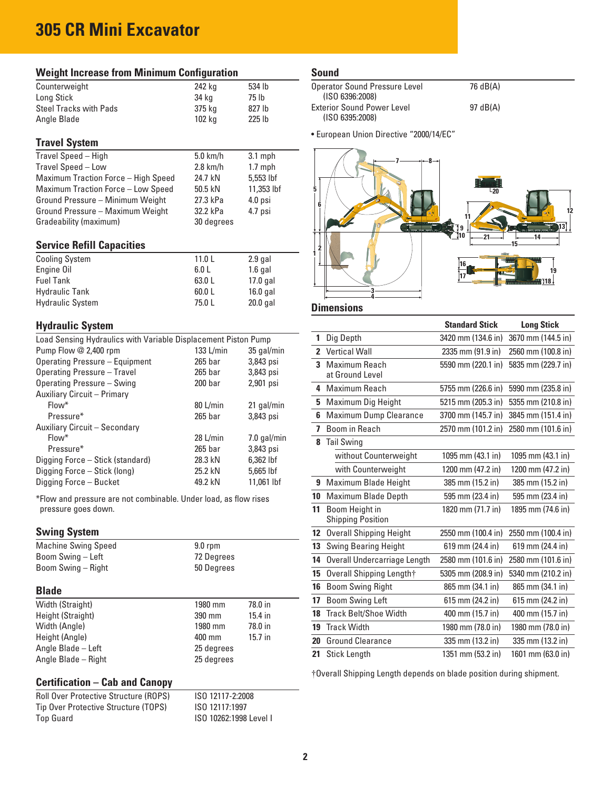# **305 CR Mini Excavator**

| <b>Weight Increase from Minimum Configuration</b>                                       |                    |             |
|-----------------------------------------------------------------------------------------|--------------------|-------------|
| Counterweight                                                                           | 242 kg             | 534 lb      |
| Long Stick                                                                              | 34 kg              | 75 lb       |
| <b>Steel Tracks with Pads</b>                                                           | 375 kg             | 827 lb      |
| Angle Blade                                                                             | 102 kg             | 225 lb      |
| <b>Travel System</b>                                                                    |                    |             |
| Travel Speed - High                                                                     | $5.0$ km/h         | $3.1$ mph   |
| Travel Speed - Low                                                                      | $2.8$ km/h         | $1.7$ mph   |
| Maximum Traction Force - High Speed                                                     | 24.7 kN            | 5,553 lbf   |
| Maximum Traction Force - Low Speed                                                      | 50.5 kN            | 11,353 lbf  |
| Ground Pressure - Minimum Weight                                                        | 27.3 kPa           | 4.0 psi     |
| Ground Pressure - Maximum Weight                                                        | 32.2 kPa           | 4.7 psi     |
| Gradeability (maximum)                                                                  | 30 degrees         |             |
| <b>Service Refill Capacities</b>                                                        |                    |             |
| <b>Cooling System</b>                                                                   | 11.0 <sub>L</sub>  | 2.9 gal     |
| Engine Oil                                                                              | 6.0 L              | $1.6$ gal   |
| <b>Fuel Tank</b>                                                                        | 63.0 L             | 17.0 gal    |
| <b>Hydraulic Tank</b>                                                                   | 60.0 L             | $16.0$ gal  |
| <b>Hydraulic System</b>                                                                 | 75.0 L             | 20.0 gal    |
| <b>Hydraulic System</b>                                                                 |                    |             |
| Load Sensing Hydraulics with Variable Displacement Piston Pump                          |                    |             |
| Pump Flow @ 2,400 rpm                                                                   | 133 L/min          | 35 gal/min  |
| <b>Operating Pressure - Equipment</b>                                                   | $265$ bar          | 3,843 psi   |
| <b>Operating Pressure - Travel</b>                                                      | 265 bar            | 3,843 psi   |
| Operating Pressure - Swing                                                              | $200$ bar          | 2,901 psi   |
| Auxiliary Circuit - Primary                                                             |                    |             |
| Flow*                                                                                   | 80 L/min           | 21 gal/min  |
| Pressure*                                                                               | 265 <sub>bar</sub> | 3,843 psi   |
| Auxiliary Circuit - Secondary                                                           |                    |             |
| Flow <sup>*</sup>                                                                       | 28 L/min           | 7.0 gal/min |
| Pressure*                                                                               | 265 bar            | 3,843 psi   |
| Digging Force - Stick (standard)                                                        | 28.3 kN            | 6,362 lbf   |
| Digging Force - Stick (long)                                                            | 25.2 kN            | 5,665 lbf   |
| Digging Force - Bucket                                                                  | 49.2 kN            | 11.061 lbf  |
| *Flow and pressure are not combinable. Under load, as flow rises<br>pressure goes down. |                    |             |
| <b>Swing System</b>                                                                     |                    |             |
| <b>Machine Swing Speed</b>                                                              | 9.0 rpm            |             |
| Boom Swing - Left                                                                       | 72 Degrees         |             |
| Boom Swing - Right                                                                      | 50 Degrees         |             |
| <b>Blade</b>                                                                            |                    |             |
| Width (Straight)                                                                        | 1980 mm            | 78.0 in     |
| Height (Straight)                                                                       | 390 mm             | 15.4 in     |
| Width (Angle)                                                                           | 1980 mm            | 78.0 in     |
| Height (Angle)                                                                          | 400 mm             | 15.7 in     |
| Angle Blade - Left                                                                      | 25 degrees         |             |
| Angle Blade - Right                                                                     | 25 degrees         |             |

## **Certification – Cab and Canopy**

Angle Blade – Right

Roll Over Protective Structure (ROPS) ISO 12117-2:2008 Tip Over Protective Structure (TOPS) 1SO 12117:1997<br>Top Guard 1SO 10262:1998

ISO 10262:1998 Level I

#### **Sound**

| Operator Sound Pressure Level     | 76 dB(A) |
|-----------------------------------|----------|
| (ISO 6396:2008)                   |          |
| <b>Exterior Sound Power Level</b> | 97 dB(A) |
| (ISO 6395:2008)                   |          |

• European Union Directive "2000/14/EC"



#### **Dimensions**

|              |                                            | <b>Standard Stick</b> | <b>Long Stick</b>  |
|--------------|--------------------------------------------|-----------------------|--------------------|
| 1            | Dig Depth                                  | 3420 mm (134.6 in)    | 3670 mm (144.5 in) |
| $\mathbf{2}$ | <b>Vertical Wall</b>                       | 2335 mm (91.9 in)     | 2560 mm (100.8 in) |
| 3            | Maximum Reach                              | 5590 mm (220.1 in)    | 5835 mm (229.7 in) |
|              | at Ground Level                            |                       |                    |
| 4            | Maximum Reach                              | 5755 mm (226.6 in)    | 5990 mm (235.8 in) |
| 5            | Maximum Dig Height                         | 5215 mm (205.3 in)    | 5355 mm (210.8 in) |
| 6            | <b>Maximum Dump Clearance</b>              | 3700 mm (145.7 in)    | 3845 mm (151.4 in) |
| 7            | Boom in Reach                              | 2570 mm (101.2 in)    | 2580 mm (101.6 in) |
| 8            | <b>Tail Swing</b>                          |                       |                    |
|              | without Counterweight                      | 1095 mm (43.1 in)     | 1095 mm (43.1 in)  |
|              | with Counterweight                         | 1200 mm (47.2 in)     | 1200 mm (47.2 in)  |
| 9            | Maximum Blade Height                       | 385 mm (15.2 in)      | 385 mm (15.2 in)   |
| 10           | Maximum Blade Depth                        | 595 mm (23.4 in)      | 595 mm (23.4 in)   |
| 11           | Boom Height in<br><b>Shipping Position</b> | 1820 mm (71.7 in)     | 1895 mm (74.6 in)  |
| 12           | <b>Overall Shipping Height</b>             | 2550 mm (100.4 in)    | 2550 mm (100.4 in) |
| 13           | <b>Swing Bearing Height</b>                | 619 mm (24.4 in)      | 619 mm (24.4 in)   |
| 14           | Overall Undercarriage Length               | 2580 mm (101.6 in)    | 2580 mm (101.6 in) |
| 15           | Overall Shipping Length†                   | 5305 mm (208.9 in)    | 5340 mm (210.2 in) |
| 16           | <b>Boom Swing Right</b>                    | 865 mm (34.1 in)      | 865 mm (34.1 in)   |
| 17           | <b>Boom Swing Left</b>                     | 615 mm (24.2 in)      | 615 mm (24.2 in)   |
| 18           | <b>Track Belt/Shoe Width</b>               | 400 mm (15.7 in)      | 400 mm (15.7 in)   |
| 19           | <b>Track Width</b>                         | 1980 mm (78.0 in)     | 1980 mm (78.0 in)  |
| 20           | <b>Ground Clearance</b>                    | 335 mm (13.2 in)      | 335 mm (13.2 in)   |
| 21           | <b>Stick Length</b>                        | 1351 mm (53.2 in)     | 1601 mm (63.0 in)  |

†Overall Shipping Length depends on blade position during shipment.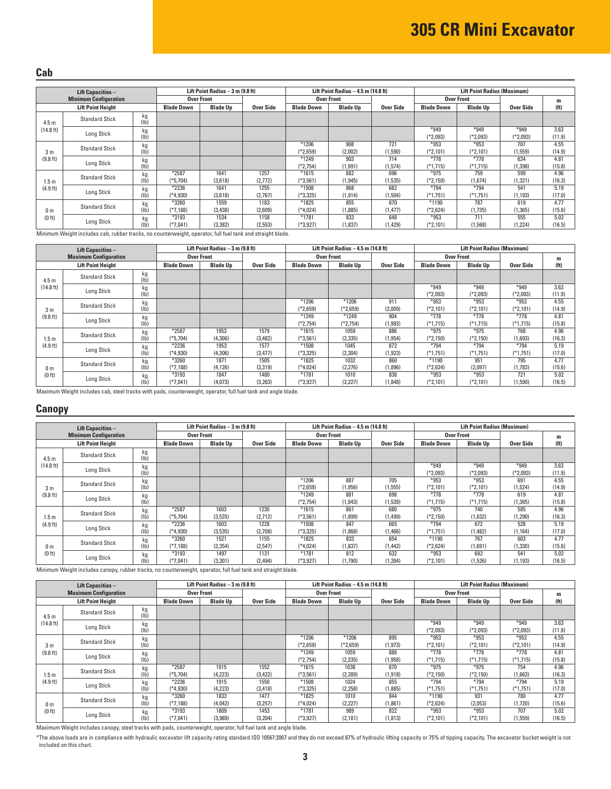#### **Cab**

| <b>Lift Capacities -</b> |                              | Lift Point Radius $-3$ m (9.8 ft) |                       |                  | Lift Point Radius $-4.5$ m (14.8 ft) |                       |                   | <b>Lift Point Radius (Maximum)</b> |                      |                      |                    |                   |
|--------------------------|------------------------------|-----------------------------------|-----------------------|------------------|--------------------------------------|-----------------------|-------------------|------------------------------------|----------------------|----------------------|--------------------|-------------------|
|                          | <b>Minimum Configuration</b> |                                   |                       | Over Front       |                                      |                       | <b>Over Front</b> |                                    | <b>Over Front</b>    |                      |                    | m                 |
|                          | <b>Lift Point Height</b>     |                                   | <b>Blade Down</b>     | <b>Blade Up</b>  | Over Side                            | <b>Blade Down</b>     | <b>Blade Up</b>   | Over Side                          | <b>Blade Down</b>    | <b>Blade Up</b>      | Over Side          | (f <sup>t</sup> ) |
| 4.5 <sub>m</sub>         | <b>Standard Stick</b>        | kg<br>(1b)                        |                       |                  |                                      |                       |                   |                                    |                      |                      |                    |                   |
| (14.8 ft)                | Long Stick                   | kg<br>(1b)                        |                       |                  |                                      |                       |                   |                                    | $*949$<br>(*2,093)   | $*949$<br>$(*2,093)$ | $*949$<br>(*2,093) | 3.63<br>(11.9)    |
| 3 m                      | <b>Standard Stick</b>        | kg<br>(1b)                        |                       |                  |                                      | $*1206$<br>$(*2,659)$ | 908<br>(2,002)    | 721<br>(1,590)                     | $*953$<br>(*2,101)   | $*953$<br>(*2,101)   | 707<br>(1, 559)    | 4.55<br>(14.9)    |
| (9.8 ft)                 | Long Stick                   | kg<br>(1b)                        |                       |                  |                                      | *1249<br>(*2,754)     | 903<br>(1, 991)   | 714<br>(1,574)                     | $*778$<br>$(*1,715)$ | $*778$<br>$(*1,715)$ | 634<br>(1, 398)    | 4.81<br>(15.8)    |
| 1.5 <sub>m</sub>         | <b>Standard Stick</b>        | kg<br>(Ib)                        | $*2587$<br>$(*5.704)$ | 1641<br>(3.618)  | 1257<br>(2,772)                      | $*1615$<br>$(*3.561)$ | 882<br>(1, 945)   | 696<br>(1, 535)                    | $*975$<br>$(*2,150)$ | 759<br>(1,674)       | 599<br>(1, 321)    | 4.96<br>(16.3)    |
| (4.9 ft)                 | Long Stick                   | kg<br>(1b)                        | $*2236$<br>(*4,930)   | 1641<br>(3,618)  | 1255<br>(2,767)                      | *1508<br>(*3.325)     | 868<br>(1, 914)   | 682<br>(1,504)                     | $*794$<br>$(*1,751)$ | $*794$<br>(*1,751)   | 541<br>(1, 193)    | 5.19<br>(17.0)    |
| 0 m<br>(0 ft)            | <b>Standard Stick</b>        | kg<br>(Ib)                        | *3260<br>(*7,188)     | 1559<br>(3, 438) | 1183<br>(2,609)                      | $*1825$<br>(*4,024)   | 855<br>(1,885)    | 670<br>(1, 477)                    | $*1190$<br>$*2,624)$ | 787<br>(1,735)       | 619<br>(1, 365)    | 4.77<br>(15.6)    |
|                          | Long Stick                   | kg                                | *3193<br>(*7,041)     | 1534<br>(3, 382) | 1158<br>(2, 553)                     | $*1781$<br>(*3,927)   | 833<br>(1,837)    | 648<br>(1, 429)                    | $*953$<br>(*2,101)   | 711<br>(1, 568)      | 555<br>(1,224)     | 5.02<br>(16.5)    |

Minimum Weight includes cab, rubber tracks, no counterweight, operator, full fuel tank and straight blade.

|                  |                              |                 | Lift Point Radius $-3$ m (9.8 ft) |                   |           | Lift Point Radius $-4.5$ m (14.8 ft) |                 |           | <b>Lift Point Radius (Maximum)</b> |                 |            |                   |
|------------------|------------------------------|-----------------|-----------------------------------|-------------------|-----------|--------------------------------------|-----------------|-----------|------------------------------------|-----------------|------------|-------------------|
|                  | <b>Lift Capacities -</b>     |                 |                                   |                   |           | <b>Over Front</b>                    |                 |           | <b>Over Front</b>                  |                 |            |                   |
|                  | <b>Maximum Configuration</b> |                 |                                   | <b>Over Front</b> |           |                                      |                 |           |                                    |                 |            | m                 |
|                  | <b>Lift Point Height</b>     |                 | <b>Blade Down</b>                 | <b>Blade Up</b>   | Over Side | <b>Blade Down</b>                    | <b>Blade Up</b> | Over Side | <b>Blade Down</b>                  | <b>Blade Up</b> | Over Side  | (f <sup>t</sup> ) |
| 4.5 <sub>m</sub> | <b>Standard Stick</b>        | kg<br>(1b)      |                                   |                   |           |                                      |                 |           |                                    |                 |            |                   |
| (14.8 ft)        |                              | kg              |                                   |                   |           |                                      |                 |           | $*949$                             | $*949$          | $*949$     | 3.63              |
|                  | Long Stick                   | (Ib)            |                                   |                   |           |                                      |                 |           | $(*2,093)$                         | (*2,093)        | (*2,093)   | (11.9)            |
|                  |                              | kg              |                                   |                   |           | *1206                                | *1206           | 911       | $*953$                             | *953            | $*953$     | 4.55              |
| 3 <sub>m</sub>   | <b>Standard Stick</b>        | (1b)            |                                   |                   |           | (*2,659)                             | (*2,659)        | (2,009)   | $(*2,101)$                         | (*2,101)        | $[*2,101]$ | (14.9)            |
| (9.8 ft)         | Long Stick                   | kg              |                                   |                   |           | *1249                                | $*1249$         | 904       | $*778$                             | $*778$          | $*778$     | 4.81              |
|                  |                              | (Ib)            |                                   |                   |           | $(*2.754)$                           | (*2,754)        | (1,993)   | $(*1,715)$                         | (*1,715)        | (*1,715)   | (15.8)            |
|                  |                              | kg              | $*2587$                           | 1953              | 1579      | $*1615$                              | 1059            | 886       | $*975$                             | $*975$          | 768        | 4.96              |
| 1.5 <sub>m</sub> | <b>Standard Stick</b>        | (Ib)            | $(*5,704)$                        | (4,306)           | (3, 482)  | $(*3,561)$                           | (2, 335)        | (1, 954)  | $(*2,150)$                         | $(*2,150)$      | (1,693)    | (16.3)            |
| (4.9 ft)         |                              | kg              | $*2236$                           | 1953              | 1577      | $*1508$                              | 1045            | 872       | $*794$                             | $*794$          | $*794$     | 5.19              |
|                  | Long Stick                   | (Ib)            | $(*4,930)$                        | (4,306)           | (3, 477)  | (*3,325)                             | (2, 304)        | (1, 923)  | (*1,751)                           | $(*1,751)$      | (*1,751)   | (17.0)            |
|                  |                              | kg              | $*3260$                           | 1871              | 1505      | $*1825$                              | 1032            | 860       | $*1190$                            | 951             | 795        | 4.77              |
| 0 <sub>m</sub>   | <b>Standard Stick</b>        | $(\mathsf{lb})$ | (*7.188)                          | (4, 126)          | (3, 319)  | (*4.024)                             | (2,276)         | (1,896)   | $*2,624)$                          | (2,097)         | (1,783)    | (15.6)            |
| (0 ft)           |                              | kg              | *3193                             | 1847              | 1480      | $*1781$                              | 1010            | 838       | $*953$                             | $*953$          | 721        | 5.02              |
|                  | Long Stick                   | (Ib)            | (*7,041)                          | (4,073)           | (3,263)   | (*3,927)                             | (2,227)         | (1, 848)  | $(*2,101)$                         | (*2,101)        | (1,590)    | (16.5)            |

Maximum Weight includes cab, steel tracks with pads, counterweight, operator, full fuel tank and angle blade.

#### **Canopy**

| <b>Lift Capacities -</b> |                              |                   | Lift Point Radius $-3$ m (9.8 ft) |                   |           |                   | Lift Point Radius $-4.5$ m (14.8 ft) |           |                   | <b>Lift Point Radius (Maximum)</b> |            |                   |  |
|--------------------------|------------------------------|-------------------|-----------------------------------|-------------------|-----------|-------------------|--------------------------------------|-----------|-------------------|------------------------------------|------------|-------------------|--|
|                          | <b>Minimum Configuration</b> |                   |                                   | <b>Over Front</b> |           |                   | <b>Over Front</b>                    |           | <b>Over Front</b> |                                    |            | m                 |  |
|                          | <b>Lift Point Height</b>     |                   | <b>Blade Down</b>                 | <b>Blade Up</b>   | Over Side | <b>Blade Down</b> | <b>Blade Up</b>                      | Over Side | <b>Blade Down</b> | <b>Blade Up</b>                    | Over Side  | (f <sub>t</sub> ) |  |
| 4.5 <sub>m</sub>         | <b>Standard Stick</b>        | kg<br>(1b)        |                                   |                   |           |                   |                                      |           |                   |                                    |            |                   |  |
| (14.8 ft)                | Long Stick                   | kg                |                                   |                   |           |                   |                                      |           | $*949$            | $*949$                             | $*949$     | 3.63              |  |
|                          |                              | (1b)              |                                   |                   |           |                   |                                      |           | $(*2,093)$        | $(*2,093)$                         | $(*2,093)$ | (11.9)            |  |
|                          | <b>Standard Stick</b>        | kg                |                                   |                   |           | $*1206$           | 887                                  | 705       | $*953$            | $*953$                             | 691        | 4.55              |  |
| 3 <sub>m</sub>           |                              | (1b)              |                                   |                   |           | $(*2,659)$        | (1, 956)                             | (1, 555)  | $(*2,101)$        | $(*2,101)$                         | (1,524)    | (14.9)            |  |
| (9.8 ft)                 | kg<br>Long Stick<br>(1b)     |                   |                                   |                   |           | $*1249$           | 881                                  | 698       | $*778$            | $*778$                             | 619        | 4.81              |  |
|                          |                              |                   |                                   |                   |           | $(*2,754)$        | (1, 943)                             | (1,539)   | $(*1,715)$        | $(*1,715)$                         | (1, 365)   | (15.8)            |  |
|                          |                              | kg                | $*2587$                           | 1603              | 1230      | $*1615$           | 861                                  | 680       | $*975$            | 740                                | 585        | 4.96              |  |
| 1.5m                     | <b>Standard Stick</b>        | (1b)              | (*5.704)                          | (3.535)           | (2,712)   | (*3,561)          | (1,899)                              | (1, 499)  | $(*2,150)$        | (1,632)                            | (1, 290)   | (16.3)            |  |
| (4.9 ft)                 |                              | kg                | $*2236$                           | 1603              | 1228      | $*1508$           | 847                                  | 665       | $*794$            | 672                                | 528        | 5.19              |  |
|                          | Long Stick                   | (1b)              | (*4.930)                          | (3,535)           | (2,708)   | (*3,325)          | (1,868)                              | (1,466)   | $(*1,751)$        | (1, 482)                           | (1, 164)   | (17.0)            |  |
|                          |                              | kg                | $*3260$                           | 1521              | 1155      | $*1825$           | 833                                  | 654       | $*1190$           | 767                                | 603        | 4.77              |  |
| 0 <sub>m</sub>           | <b>Standard Stick</b>        | (Ib)              | (*7.188)                          | (3, 354)          | (2,547)   | (*4,024)          | (1, 837)                             | (1, 442)  | (*2,624)          | (1,691)                            | (1,330)    | (15.6)            |  |
| (0 <sub>ft</sub> )       |                              | kg                | $*3193$                           | 1497              | 1131      | *1781             | 812                                  | 632       | $*953$            | 692                                | 541        | 5.02              |  |
|                          | Long Stick                   | (1 <sub>b</sub> ) | (*7.041)                          | (3,301)           | (2, 494)  | (*3,927)          | (1,790)                              | (1, 394)  | (*2,101)          | (1,526)                            | (1, 193)   | (16.5)            |  |

Minimum Weight includes canopy, rubber tracks, no counterweight, operator, full fuel tank and straight blade.

| <b>Lift Capacities -</b> |                              |                   | Lift Point Radius $-3$ m (9.8 ft) |                   |           | Lift Point Radius $-4.5$ m (14.8 ft) |                   |           | <b>Lift Point Radius (Maximum)</b> |                   |            |                   |
|--------------------------|------------------------------|-------------------|-----------------------------------|-------------------|-----------|--------------------------------------|-------------------|-----------|------------------------------------|-------------------|------------|-------------------|
|                          | <b>Maximum Configuration</b> |                   |                                   | <b>Over Front</b> |           |                                      | <b>Over Front</b> |           |                                    | <b>Over Front</b> |            | m                 |
|                          | <b>Lift Point Height</b>     |                   | <b>Blade Down</b>                 | <b>Blade Up</b>   | Over Side | <b>Blade Down</b>                    | <b>Blade Up</b>   | Over Side | <b>Blade Down</b>                  | <b>Blade Up</b>   | Over Side  | (f <sup>t</sup> ) |
| 4.5 <sub>m</sub>         | <b>Standard Stick</b>        | kg<br>(Ib         |                                   |                   |           |                                      |                   |           |                                    |                   |            |                   |
| (14.8 ft)                |                              | kg                |                                   |                   |           |                                      |                   |           | $*949$                             | $*949$            | $*949$     | 3.63              |
|                          | Long Stick                   | (Ib)              |                                   |                   |           |                                      |                   |           | $*2,093$                           | $(*2,093)$        | (*2,093)   | (11.9)            |
|                          |                              | kg                |                                   |                   |           | $*1206$                              | $*1206$           | 895       | $*953$                             | $*953$            | $*953$     | 4.55              |
| 3 <sub>m</sub>           | <b>Standard Stick</b>        | (Ib               |                                   |                   |           | $(*2,659)$                           | $(*2,659)$        | (1, 973)  | $*2,101)$                          | $(*2,101)$        | (*2,101)   | (14.9)            |
| (9.8 ft)                 | <b>Long Stick</b>            | kg                |                                   |                   |           | $*1249$                              | 1059              | 888       | $*778$                             | $*778$            | $*778$     | 4.81              |
|                          |                              | (Ib)              |                                   |                   |           | (*2,754)                             | (2, 335)          | (1,958)   | $(*1,715)$                         | $(*1,715)$        | $(*1,715)$ | (15.8)            |
|                          |                              | kg                | $*2587$                           | 1915              | 1552      | $*1615$                              | 1038              | 870       | $*975$                             | $*975$            | 754        | 4.96              |
| 1.5 <sub>m</sub>         | <b>Standard Stick</b>        | (Ib)              | $(*5.704)$                        | (4,223)           | (3, 422)  | $(*3,561)$                           | (2, 289)          | (1, 918)  | $(*2,150)$                         | $(*2,150)$        | (1,663)    | (16.3)            |
| (4.9 ft)                 |                              | kg                | $*2236$                           | 1915              | 1550      | *1508                                | 1024              | 855       | $*794$                             | $*794$            | $*794$     | 5.19              |
|                          | <b>Long Stick</b>            | (1 <sub>b</sub> ) | (*4.930)                          | (4.223)           | (3, 418)  | $(*3,325)$                           | (2, 258)          | (1,885)   | $(*1,751)$                         | $(*1,751)$        | $(*1,751)$ | (17.0)            |
|                          |                              | kg                | *3260                             | 1833              | 1477      | $*1825$                              | 1010              | 844       | $*1190$                            | 931               | 780        | 4.77              |
| 0 <sub>m</sub>           | <b>Standard Stick</b>        | (1b)              | (*7,188)                          | (4,042)           | (3,257)   | (*4,024)                             | (2,227)           | (1,861)   | $*2,624)$                          | (2,053)           | (1,720)    | (15.6)            |
| (0 ft)                   |                              | kg                | *3193                             | 1809              | 1453      | $*1781$                              | 989               | 822       | $*953$                             | $*953$            | 707        | 5.02              |
|                          | <b>Long Stick</b>            | (lb)              | (*7,041)                          | (3,989)           | (3,204)   | (*3,927)                             | (2, 181)          | (1, 813)  | $(*2,101)$                         | (*2,101)          | (1,559)    | (16.5)            |

Maximum Weight includes canopy, steel tracks with pads, counterweight, operator, full fuel tank and angle blade.

\*The above loads are in compliance with hydraulic excavator lift capacity rating standard ISO 10567:2007 and they do not exceed 87% of hydraulic lifting capacity or 75% of tipping capacity. The excavator bucket weight is not included on this chart.